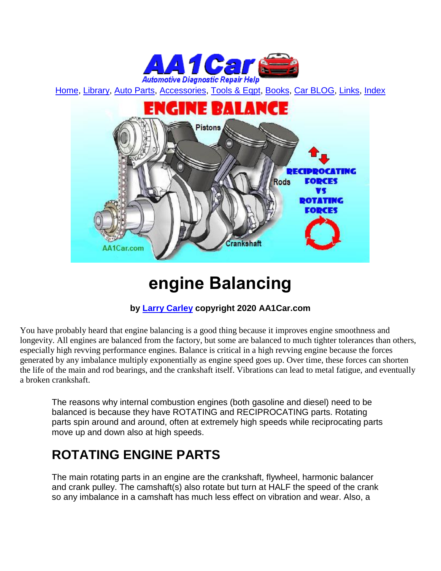

[Home,](http://www.aa1car.com/) [Library,](http://www.aa1car.com/library.htm) [Auto Parts,](http://www.aa1car.com/links_parts.htm) [Accessories,](http://www.aa1car.com/auto-accessories.html) [Tools & Eqpt,](http://www.aa1car.com/links_tools.htm) [Books,](http://www.aa1car.com/links_books.htm) [Car BLOG,](http://www.aa1car.com/blog/blog.htm) [Links,](http://www.aa1car.com/links.htm) [Index](http://www.aa1car.com/index_alphabetical.htm)



# **engine Balancing**

#### **by [Larry Carley](https://www.aa1car.com/larrypage/larrycarley_photos.htm) copyright 2020 AA1Car.com**

You have probably heard that engine balancing is a good thing because it improves engine smoothness and longevity. All engines are balanced from the factory, but some are balanced to much tighter tolerances than others, especially high revving performance engines. Balance is critical in a high revving engine because the forces generated by any imbalance multiply exponentially as engine speed goes up. Over time, these forces can shorten the life of the main and rod bearings, and the crankshaft itself. Vibrations can lead to metal fatigue, and eventually a broken crankshaft.

The reasons why internal combustion engines (both gasoline and diesel) need to be balanced is because they have ROTATING and RECIPROCATING parts. Rotating parts spin around and around, often at extremely high speeds while reciprocating parts move up and down also at high speeds.

### **ROTATING ENGINE PARTS**

The main rotating parts in an engine are the crankshaft, flywheel, harmonic balancer and crank pulley. The camshaft(s) also rotate but turn at HALF the speed of the crank so any imbalance in a camshaft has much less effect on vibration and wear. Also, a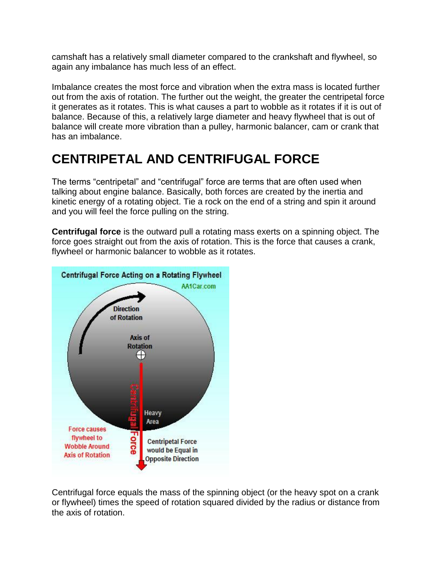camshaft has a relatively small diameter compared to the crankshaft and flywheel, so again any imbalance has much less of an effect.

Imbalance creates the most force and vibration when the extra mass is located further out from the axis of rotation. The further out the weight, the greater the centripetal force it generates as it rotates. This is what causes a part to wobble as it rotates if it is out of balance. Because of this, a relatively large diameter and heavy flywheel that is out of balance will create more vibration than a pulley, harmonic balancer, cam or crank that has an imbalance.

### **CENTRIPETAL AND CENTRIFUGAL FORCE**

The terms "centripetal" and "centrifugal" force are terms that are often used when talking about engine balance. Basically, both forces are created by the inertia and kinetic energy of a rotating object. Tie a rock on the end of a string and spin it around and you will feel the force pulling on the string.

**Centrifugal force** is the outward pull a rotating mass exerts on a spinning object. The force goes straight out from the axis of rotation. This is the force that causes a crank, flywheel or harmonic balancer to wobble as it rotates.



Centrifugal force equals the mass of the spinning object (or the heavy spot on a crank or flywheel) times the speed of rotation squared divided by the radius or distance from the axis of rotation.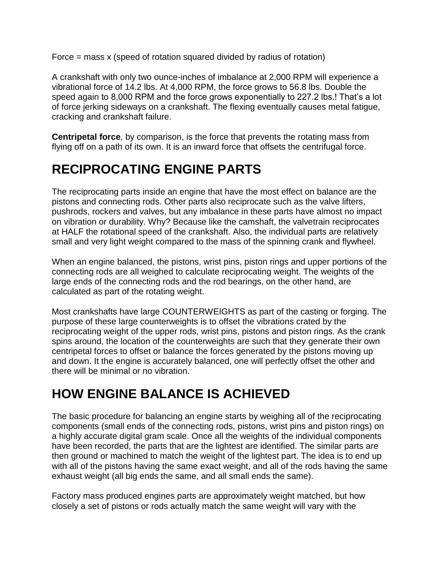Force = mass x (speed of rotation squared divided by radius of rotation)

A crankshaft with only two ounce-inches of imbalance at 2,000 RPM will experience a vibrational force of 14.2 lbs. At 4,000 RPM, the force grows to 56.8 lbs. Double the speed again to 8,000 RPM and the force grows exponentially to 227.2 lbs.! That's a lot of force jerking sideways on a crankshaft. The flexing eventually causes metal fatigue, cracking and crankshaft failure.

**Centripetal force**, by comparison, is the force that prevents the rotating mass from flying off on a path of its own. It is an inward force that offsets the centrifugal force.

# **RECIPROCATING ENGINE PARTS**

The reciprocating parts inside an engine that have the most effect on balance are the pistons and connecting rods. Other parts also reciprocate such as the valve lifters, pushrods, rockers and valves, but any imbalance in these parts have almost no impact on vibration or durability. Why? Because like the camshaft, the valvetrain reciprocates at HALF the rotational speed of the crankshaft. Also, the individual parts are relatively small and very light weight compared to the mass of the spinning crank and flywheel.

When an engine balanced, the pistons, wrist pins, piston rings and upper portions of the connecting rods are all weighed to calculate reciprocating weight. The weights of the large ends of the connecting rods and the rod bearings, on the other hand, are calculated as part of the rotating weight.

Most crankshafts have large COUNTERWEIGHTS as part of the casting or forging. The purpose of these large counterweights is to offset the vibrations crated by the reciprocating weight of the upper rods, wrist pins, pistons and piston rings. As the crank spins around, the location of the counterweights are such that they generate their own centripetal forces to offset or balance the forces generated by the pistons moving up and down. It the engine is accurately balanced, one will perfectly offset the other and there will be minimal or no vibration.

### **HOW ENGINE BALANCE IS ACHIEVED**

The basic procedure for balancing an engine starts by weighing all of the reciprocating components (small ends of the connecting rods, pistons, wrist pins and piston rings) on a highly accurate digital gram scale. Once all the weights of the individual components have been recorded, the parts that are the lightest are identified. The similar parts are then ground or machined to match the weight of the lightest part. The idea is to end up with all of the pistons having the same exact weight, and all of the rods having the same exhaust weight (all big ends the same, and all small ends the same).

Factory mass produced engines parts are approximately weight matched, but how closely a set of pistons or rods actually match the same weight will vary with the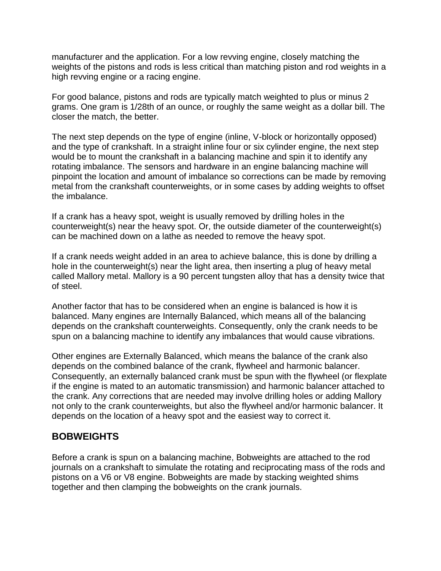manufacturer and the application. For a low revving engine, closely matching the weights of the pistons and rods is less critical than matching piston and rod weights in a high revving engine or a racing engine.

For good balance, pistons and rods are typically match weighted to plus or minus 2 grams. One gram is 1/28th of an ounce, or roughly the same weight as a dollar bill. The closer the match, the better.

The next step depends on the type of engine (inline, V-block or horizontally opposed) and the type of crankshaft. In a straight inline four or six cylinder engine, the next step would be to mount the crankshaft in a balancing machine and spin it to identify any rotating imbalance. The sensors and hardware in an engine balancing machine will pinpoint the location and amount of imbalance so corrections can be made by removing metal from the crankshaft counterweights, or in some cases by adding weights to offset the imbalance.

If a crank has a heavy spot, weight is usually removed by drilling holes in the counterweight(s) near the heavy spot. Or, the outside diameter of the counterweight(s) can be machined down on a lathe as needed to remove the heavy spot.

If a crank needs weight added in an area to achieve balance, this is done by drilling a hole in the counterweight(s) near the light area, then inserting a plug of heavy metal called Mallory metal. Mallory is a 90 percent tungsten alloy that has a density twice that of steel.

Another factor that has to be considered when an engine is balanced is how it is balanced. Many engines are Internally Balanced, which means all of the balancing depends on the crankshaft counterweights. Consequently, only the crank needs to be spun on a balancing machine to identify any imbalances that would cause vibrations.

Other engines are Externally Balanced, which means the balance of the crank also depends on the combined balance of the crank, flywheel and harmonic balancer. Consequently, an externally balanced crank must be spun with the flywheel (or flexplate if the engine is mated to an automatic transmission) and harmonic balancer attached to the crank. Any corrections that are needed may involve drilling holes or adding Mallory not only to the crank counterweights, but also the flywheel and/or harmonic balancer. It depends on the location of a heavy spot and the easiest way to correct it.

#### **BOBWEIGHTS**

Before a crank is spun on a balancing machine, Bobweights are attached to the rod journals on a crankshaft to simulate the rotating and reciprocating mass of the rods and pistons on a V6 or V8 engine. Bobweights are made by stacking weighted shims together and then clamping the bobweights on the crank journals.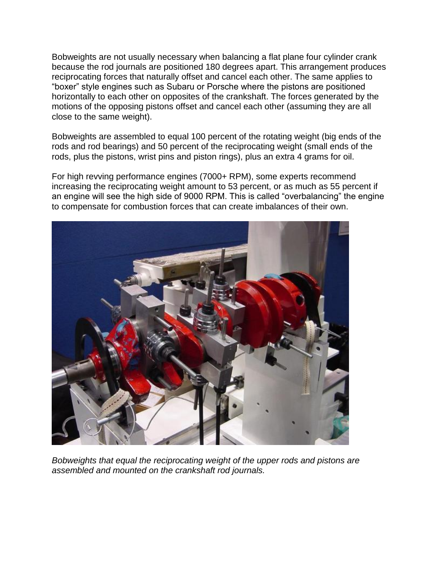Bobweights are not usually necessary when balancing a flat plane four cylinder crank because the rod journals are positioned 180 degrees apart. This arrangement produces reciprocating forces that naturally offset and cancel each other. The same applies to "boxer" style engines such as Subaru or Porsche where the pistons are positioned horizontally to each other on opposites of the crankshaft. The forces generated by the motions of the opposing pistons offset and cancel each other (assuming they are all close to the same weight).

Bobweights are assembled to equal 100 percent of the rotating weight (big ends of the rods and rod bearings) and 50 percent of the reciprocating weight (small ends of the rods, plus the pistons, wrist pins and piston rings), plus an extra 4 grams for oil.

For high revving performance engines (7000+ RPM), some experts recommend increasing the reciprocating weight amount to 53 percent, or as much as 55 percent if an engine will see the high side of 9000 RPM. This is called "overbalancing" the engine to compensate for combustion forces that can create imbalances of their own.



*Bobweights that equal the reciprocating weight of the upper rods and pistons are assembled and mounted on the crankshaft rod journals.*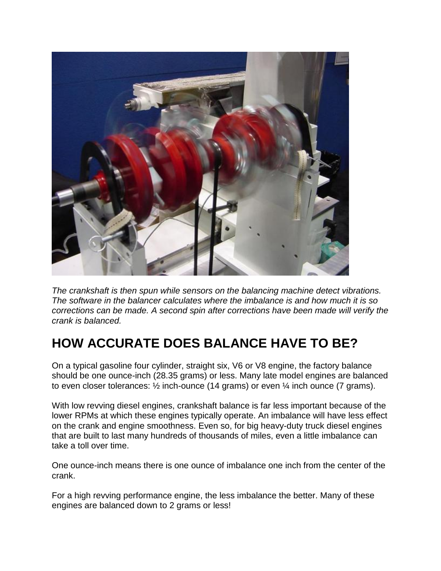

*The crankshaft is then spun while sensors on the balancing machine detect vibrations. The software in the balancer calculates where the imbalance is and how much it is so corrections can be made. A second spin after corrections have been made will verify the crank is balanced.*

# **HOW ACCURATE DOES BALANCE HAVE TO BE?**

On a typical gasoline four cylinder, straight six, V6 or V8 engine, the factory balance should be one ounce-inch (28.35 grams) or less. Many late model engines are balanced to even closer tolerances: ½ inch-ounce (14 grams) or even ¼ inch ounce (7 grams).

With low revving diesel engines, crankshaft balance is far less important because of the lower RPMs at which these engines typically operate. An imbalance will have less effect on the crank and engine smoothness. Even so, for big heavy-duty truck diesel engines that are built to last many hundreds of thousands of miles, even a little imbalance can take a toll over time.

One ounce-inch means there is one ounce of imbalance one inch from the center of the crank.

For a high revving performance engine, the less imbalance the better. Many of these engines are balanced down to 2 grams or less!